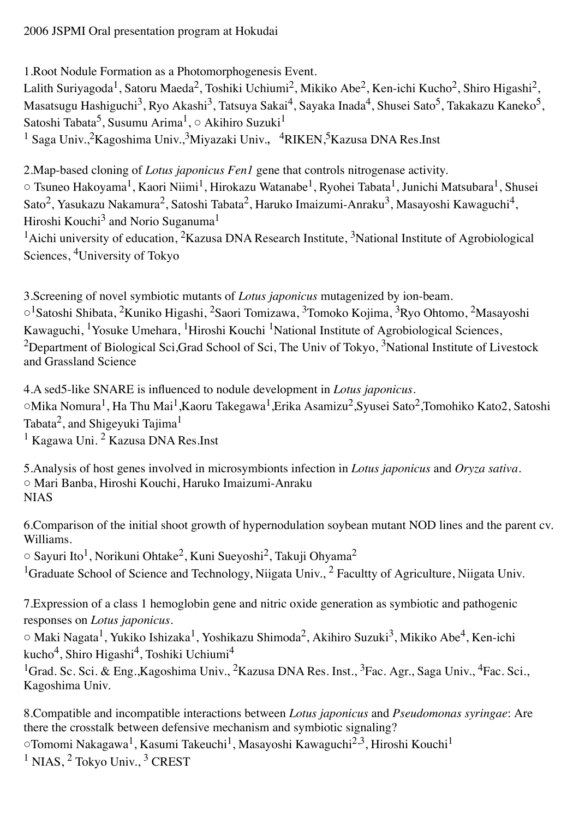1.Root Nodule Formation as a Photomorphogenesis Event.

Lalith Suriyagoda<sup>1</sup>, Satoru Maeda<sup>2</sup>, Toshiki Uchiumi<sup>2</sup>, Mikiko Abe<sup>2</sup>, Ken-ichi Kucho<sup>2</sup>, Shiro Higashi<sup>2</sup>, Masatsugu Hashiguchi<sup>3</sup>, Ryo Akashi<sup>3</sup>, Tatsuya Sakai<sup>4</sup>, Sayaka Inada<sup>4</sup>, Shusei Sato<sup>5</sup>, Takakazu Kaneko<sup>5</sup>, Satoshi Tabata<sup>5</sup>, Susumu Arima<sup>1</sup>, ○ Akihiro Suzuki<sup>1</sup>

<sup>1</sup> Saga Univ.,<sup>2</sup>Kagoshima Univ.,<sup>3</sup>Miyazaki Univ.,<sup>4</sup>RIKEN,<sup>5</sup>Kazusa DNA Res.Inst

2.Map-based cloning of *Lotus japonicus Fen1* gene that controls nitrogenase activity.

○ Tsuneo Hakoyama1, Kaori Niimi1, Hirokazu Watanabe1, Ryohei Tabata1, Junichi Matsubara1, Shusei Sato<sup>2</sup>, Yasukazu Nakamura<sup>2</sup>, Satoshi Tabata<sup>2</sup>, Haruko Imaizumi-Anraku<sup>3</sup>, Masayoshi Kawaguchi<sup>4</sup>, Hiroshi Kouchi<sup>3</sup> and Norio Suganuma<sup>1</sup>

<sup>1</sup>Aichi university of education, <sup>2</sup>Kazusa DNA Research Institute, <sup>3</sup>National Institute of Agrobiological Sciences, 4University of Tokyo

3.Screening of novel symbiotic mutants of *Lotus japonicus* mutagenized by ion-beam. ○1Satoshi Shibata, 2Kuniko Higashi, 2Saori Tomizawa, 3Tomoko Kojima, 3Ryo Ohtomo, 2Masayoshi Kawaguchi, 1Yosuke Umehara, 1Hiroshi Kouchi 1National Institute of Agrobiological Sciences, <sup>2</sup>Department of Biological Sci,Grad School of Sci, The Univ of Tokyo, <sup>3</sup>National Institute of Livestock and Grassland Science

4.A sed5-like SNARE is influenced to nodule development in *Lotus japonicus*. ○Mika Nomura1, Ha Thu Mai1,Kaoru Takegawa1,Erika Asamizu2,Syusei Sato2,Tomohiko Kato2, Satoshi Tabata<sup>2</sup>, and Shigeyuki Tajima<sup>1</sup>

<sup>1</sup> Kagawa Uni. <sup>2</sup> Kazusa DNA Res.Inst

5.Analysis of host genes involved in microsymbionts infection in *Lotus japonicus* and *Oryza sativa*. ○ Mari Banba, Hiroshi Kouchi, Haruko Imaizumi-Anraku **NIAS** 

6.Comparison of the initial shoot growth of hypernodulation soybean mutant NOD lines and the parent cv. Williams.

○ Sayuri Ito1, Norikuni Ohtake2, Kuni Sueyoshi2, Takuji Ohyama2 <sup>1</sup>Graduate School of Science and Technology, Niigata Univ., <sup>2</sup> Facultty of Agriculture, Niigata Univ.

7.Expression of a class 1 hemoglobin gene and nitric oxide generation as symbiotic and pathogenic responses on *Lotus japonicus*.

○ Maki Nagata1, Yukiko Ishizaka1, Yoshikazu Shimoda2, Akihiro Suzuki3, Mikiko Abe4, Ken-ichi kucho4, Shiro Higashi4, Toshiki Uchiumi4

<sup>1</sup>Grad. Sc. Sci. & Eng., Kagoshima Univ., <sup>2</sup>Kazusa DNA Res. Inst., <sup>3</sup>Fac. Agr., Saga Univ., <sup>4</sup>Fac. Sci., Kagoshima Univ.

8.Compatible and incompatible interactions between *Lotus japonicus* and *Pseudomonas syringae*: Are there the crosstalk between defensive mechanism and symbiotic signaling?

○Tomomi Nakagawa1, Kasumi Takeuchi1, Masayoshi Kawaguchi2,3, Hiroshi Kouchi1

<sup>1</sup> NIAS, <sup>2</sup> Tokyo Univ., <sup>3</sup> CREST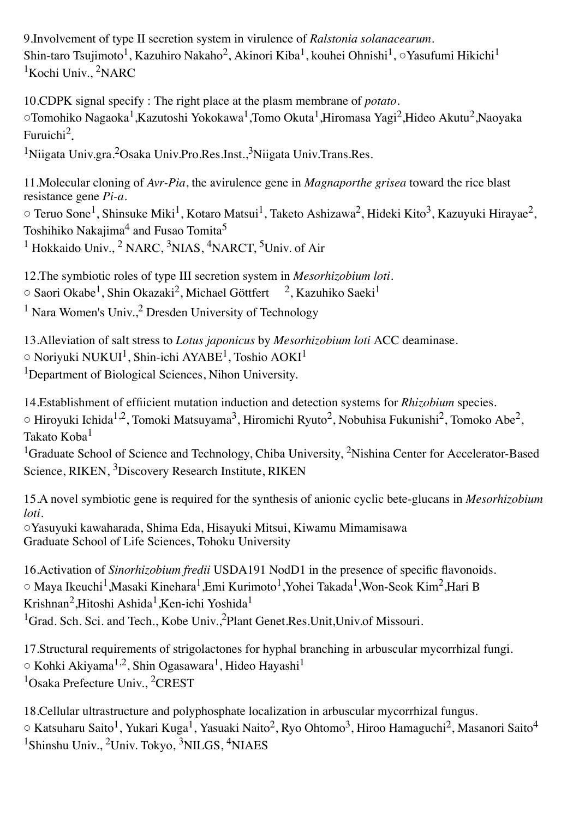9.Involvement of type II secretion system in virulence of *Ralstonia solanacearum*. Shin-taro Tsujimoto<sup>1</sup>, Kazuhiro Nakaho<sup>2</sup>, Akinori Kiba<sup>1</sup>, kouhei Ohnishi<sup>1</sup>, ∑Yasufumi Hikichi<sup>1</sup> <sup>1</sup>Kochi Univ., <sup>2</sup>NARC

10.CDPK signal specify : The right place at the plasm membrane of *potato*. ○Tomohiko Nagaoka1,Kazutoshi Yokokawa1,Tomo Okuta1,Hiromasa Yagi2,Hideo Akutu2,Naoyaka Furuichi2.

<sup>1</sup>Niigata Univ.gra.<sup>2</sup>Osaka Univ.Pro.Res.Inst.,<sup>3</sup>Niigata Univ.Trans.Res.

11.Molecular cloning of *Avr-Pia*, the avirulence gene in *Magnaporthe grisea* toward the rice blast resistance gene *Pi-a*.

 $\circ$  Teruo Sone<sup>1</sup>, Shinsuke Miki<sup>1</sup>, Kotaro Matsui<sup>1</sup>, Taketo Ashizawa<sup>2</sup>, Hideki Kito<sup>3</sup>, Kazuyuki Hirayae<sup>2</sup>, Toshihiko Nakajima<sup>4</sup> and Fusao Tomita<sup>5</sup>

<sup>1</sup> Hokkaido Univ., <sup>2</sup> NARC, <sup>3</sup>NIAS, <sup>4</sup>NARCT, <sup>5</sup>Univ. of Air

12.The symbiotic roles of type III secretion system in *Mesorhizobium loti*.

 $\circ$  Saori Okabe<sup>1</sup>, Shin Okazaki<sup>2</sup>, Michael Göttfert <sup>2</sup>, Kazuhiko Saeki<sup>1</sup>

<sup>1</sup> Nara Women's Univ.,<sup>2</sup> Dresden University of Technology

13.Alleviation of salt stress to *Lotus japonicus* by *Mesorhizobium loti* ACC deaminase.  $\circ$  Noriyuki NUKUI<sup>1</sup>, Shin-ichi AYABE<sup>1</sup>, Toshio AOKI<sup>1</sup> <sup>1</sup>Department of Biological Sciences, Nihon University.

14.Establishment of effiicient mutation induction and detection systems for *Rhizobium* species.  $\circ$  Hiroyuki Ichida<sup>1,2</sup>, Tomoki Matsuyama<sup>3</sup>, Hiromichi Ryuto<sup>2</sup>, Nobuhisa Fukunishi<sup>2</sup>, Tomoko Abe<sup>2</sup>,

Takato Koba<sup>1</sup>

<sup>1</sup>Graduate School of Science and Technology, Chiba University, <sup>2</sup>Nishina Center for Accelerator-Based Science, RIKEN, 3Discovery Research Institute, RIKEN

15.A novel symbiotic gene is required for the synthesis of anionic cyclic bete-glucans in *Mesorhizobium loti*.

○Yasuyuki kawaharada, Shima Eda, Hisayuki Mitsui, Kiwamu Mimamisawa Graduate School of Life Sciences, Tohoku University

16.Activation of *Sinorhizobium fredii* USDA191 NodD1 in the presence of specific flavonoids. ○ Maya Ikeuchi1,Masaki Kinehara1,Emi Kurimoto1,Yohei Takada1,Won-Seok Kim2,Hari B Krishnan<sup>2</sup>,Hitoshi Ashida<sup>1</sup>,Ken-ichi Yoshida<sup>1</sup> <sup>1</sup>Grad. Sch. Sci. and Tech., Kobe Univ.,<sup>2</sup>Plant Genet.Res.Unit,Univ.of Missouri.

17.Structural requirements of strigolactones for hyphal branching in arbuscular mycorrhizal fungi.  $\circ$  Kohki Akiyama<sup>1,2</sup>, Shin Ogasawara<sup>1</sup>, Hideo Hayashi<sup>1</sup> <sup>1</sup>Osaka Prefecture Univ., <sup>2</sup>CREST

18.Cellular ultrastructure and polyphosphate localization in arbuscular mycorrhizal fungus.  $\circ$  Katsuharu Saito<sup>1</sup>, Yukari Kuga<sup>1</sup>, Yasuaki Naito<sup>2</sup>, Ryo Ohtomo<sup>3</sup>, Hiroo Hamaguchi<sup>2</sup>, Masanori Saito<sup>4</sup> 1Shinshu Univ., 2Univ. Tokyo, 3NILGS, 4NIAES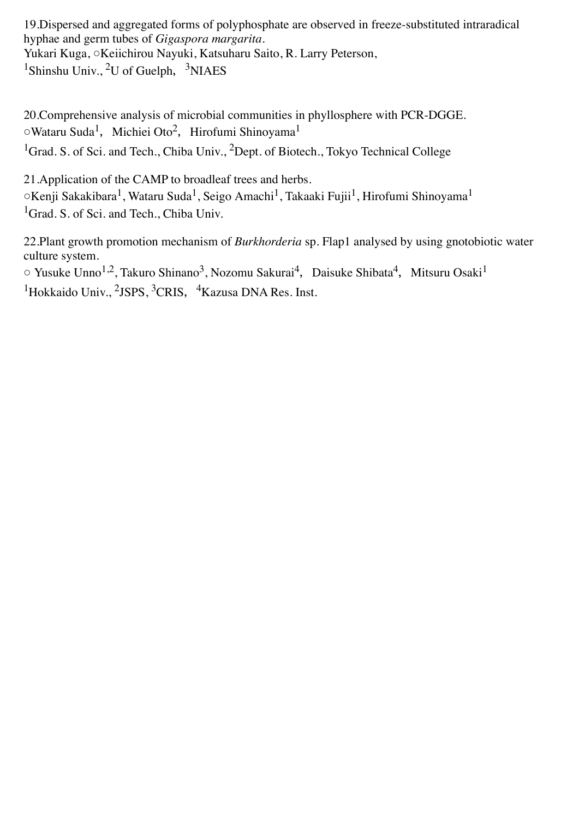19.Dispersed and aggregated forms of polyphosphate are observed in freeze-substituted intraradical hyphae and germ tubes of *Gigaspora margarita*. Yukari Kuga, ○Keiichirou Nayuki, Katsuharu Saito, R. Larry Peterson, <sup>1</sup>Shinshu Univ., <sup>2</sup>U of Guelph, <sup>3</sup>NIAES

20.Comprehensive analysis of microbial communities in phyllosphere with PCR-DGGE. ○Wataru Suda<sup>1</sup>, Michiei Oto<sup>2</sup>, Hirofumi Shinoyama<sup>1</sup> <sup>1</sup>Grad. S. of Sci. and Tech., Chiba Univ., <sup>2</sup>Dept. of Biotech., Tokyo Technical College

21.Application of the CAMP to broadleaf trees and herbs.  $\circ$ Kenji Sakakibara<sup>1</sup>, Wataru Suda<sup>1</sup>, Seigo Amachi<sup>1</sup>, Takaaki Fujii<sup>1</sup>, Hirofumi Shinoyama<sup>1</sup> <sup>1</sup>Grad. S. of Sci. and Tech., Chiba Univ.

22.Plant growth promotion mechanism of *Burkhorderia* sp. Flap1 analysed by using gnotobiotic water culture system.

 $\circ$  Yusuke Unno<sup>1,2</sup>, Takuro Shinano<sup>3</sup>, Nozomu Sakurai<sup>4</sup>, Daisuke Shibata<sup>4</sup>, Mitsuru Osaki<sup>1</sup> <sup>1</sup>Hokkaido Univ., <sup>2</sup>JSPS, <sup>3</sup>CRIS, <sup>4</sup>Kazusa DNA Res. Inst.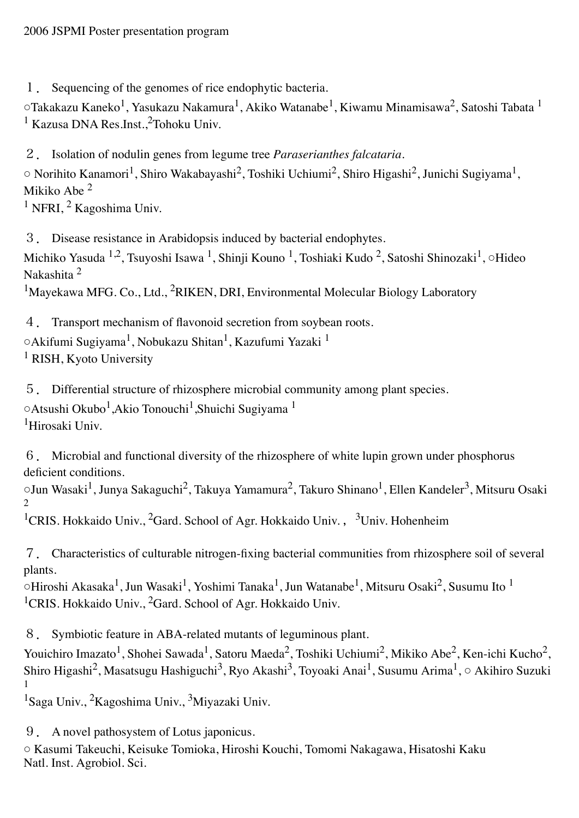1. Sequencing of the genomes of rice endophytic bacteria.

 $\circ$ Takakazu Kaneko<sup>1</sup>, Yasukazu Nakamura<sup>1</sup>, Akiko Watanabe<sup>1</sup>, Kiwamu Minamisawa<sup>2</sup>, Satoshi Tabata <sup>1</sup> <sup>1</sup> Kazusa DNA Res.Inst.,<sup>2</sup>Tohoku Univ.

2. Isolation of nodulin genes from legume tree *Paraserianthes falcataria.*  ○ Norihito Kanamori1, Shiro Wakabayashi2, Toshiki Uchiumi2, Shiro Higashi2, Junichi Sugiyama1, Mikiko Abe <sup>2</sup>  $1$  NFRI,  $2$  Kagoshima Univ.

3. Disease resistance in Arabidopsis induced by bacterial endophytes.

Michiko Yasuda <sup>1,2</sup>, Tsuyoshi Isawa <sup>1</sup>, Shinji Kouno <sup>1</sup>, Toshiaki Kudo <sup>2</sup>, Satoshi Shinozaki<sup>1</sup>, ○Hideo Nakashita <sup>2</sup>

<sup>1</sup>Mayekawa MFG. Co., Ltd., <sup>2</sup>RIKEN, DRI, Environmental Molecular Biology Laboratory

4. Transport mechanism of flavonoid secretion from soybean roots.

○Akifumi Sugiyama1, Nobukazu Shitan1, Kazufumi Yazaki 1 <sup>1</sup> RISH, Kyoto University

5. Differential structure of rhizosphere microbial community among plant species. ○Atsushi Okubo1,Akio Tonouchi1,Shuichi Sugiyama 1

1Hirosaki Univ.

6. Microbial and functional diversity of the rhizosphere of white lupin grown under phosphorus deficient conditions.

○Jun Wasaki1, Junya Sakaguchi2, Takuya Yamamura2, Takuro Shinano1, Ellen Kandeler3, Mitsuru Osaki  $\mathcal{D}$ 

<sup>1</sup>CRIS. Hokkaido Univ., <sup>2</sup>Gard. School of Agr. Hokkaido Univ., <sup>3</sup>Univ. Hohenheim

7. Characteristics of culturable nitrogen-fixing bacterial communities from rhizosphere soil of several plants.

 $\sim$ Hiroshi Akasaka<sup>1</sup>, Jun Wasaki<sup>1</sup>, Yoshimi Tanaka<sup>1</sup>, Jun Watanabe<sup>1</sup>, Mitsuru Osaki<sup>2</sup>, Susumu Ito <sup>1</sup> <sup>1</sup>CRIS. Hokkaido Univ., <sup>2</sup>Gard. School of Agr. Hokkaido Univ.

8. Symbiotic feature in ABA-related mutants of leguminous plant.

Youichiro Imazato<sup>1</sup>, Shohei Sawada<sup>1</sup>, Satoru Maeda<sup>2</sup>, Toshiki Uchiumi<sup>2</sup>, Mikiko Abe<sup>2</sup>, Ken-ichi Kucho<sup>2</sup>, Shiro Higashi<sup>2</sup>, Masatsugu Hashiguchi<sup>3</sup>, Ryo Akashi<sup>3</sup>, Toyoaki Anai<sup>1</sup>, Susumu Arima<sup>1</sup>, ○ Akihiro Suzuki 1

<sup>1</sup>Saga Univ., <sup>2</sup>Kagoshima Univ., <sup>3</sup>Miyazaki Univ.

9. A novel pathosystem of Lotus japonicus.

○ Kasumi Takeuchi, Keisuke Tomioka, Hiroshi Kouchi, Tomomi Nakagawa, Hisatoshi Kaku Natl. Inst. Agrobiol. Sci.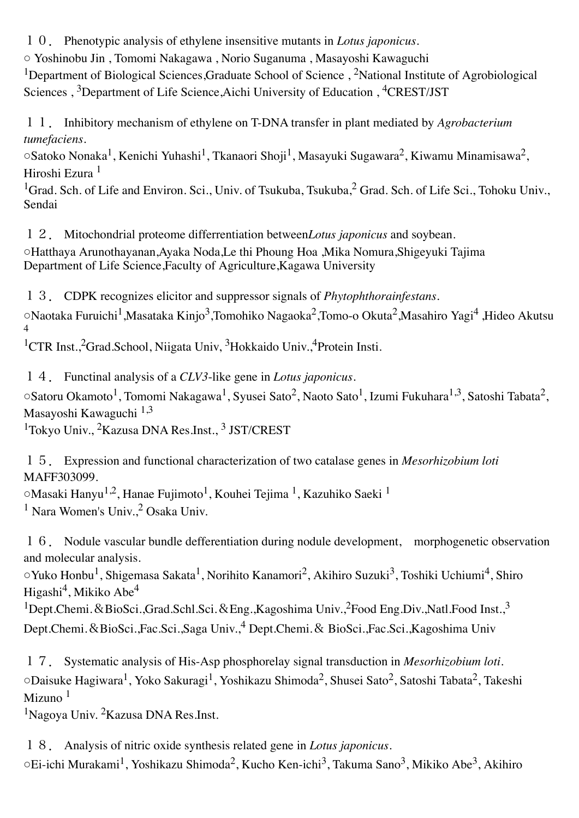10. Phenotypic analysis of ethylene insensitive mutants in *Lotus japonicus*.

○ Yoshinobu Jin , Tomomi Nakagawa , Norio Suganuma , Masayoshi Kawaguchi

<sup>1</sup>Department of Biological Sciences, Graduate School of Science, <sup>2</sup>National Institute of Agrobiological Sciences , 3Department of Life Science,Aichi University of Education , 4CREST/JST

11. Inhibitory mechanism of ethylene on T-DNA transfer in plant mediated by *Agrobacterium tumefaciens*.

 $\circ$ Satoko Nonaka<sup>1</sup>, Kenichi Yuhashi<sup>1</sup>, Tkanaori Shoji<sup>1</sup>, Masayuki Sugawara<sup>2</sup>, Kiwamu Minamisawa<sup>2</sup>, Hiroshi Ezura <sup>1</sup>

<sup>1</sup>Grad. Sch. of Life and Environ. Sci., Univ. of Tsukuba, Tsukuba, <sup>2</sup> Grad. Sch. of Life Sci., Tohoku Univ., Sendai

12. Mitochondrial proteome differrentiation between*Lotus japonicus* and soybean. ○Hatthaya Arunothayanan,Ayaka Noda,Le thi Phoung Hoa ,Mika Nomura,Shigeyuki Tajima Department of Life Science,Faculty of Agriculture,Kagawa University

13. CDPK recognizes elicitor and suppressor signals of *Phytophthorainfestans.*

○Naotaka Furuichi1,Masataka Kinjo3,Tomohiko Nagaoka2,Tomo-o Okuta2,Masahiro Yagi4 ,Hideo Akutsu 4

<sup>1</sup>CTR Inst.,<sup>2</sup>Grad.School, Niigata Univ, <sup>3</sup>Hokkaido Univ.,<sup>4</sup>Protein Insti.

14. Functinal analysis of a *CLV3*-like gene in *Lotus japonicus*. ○Satoru Okamoto1, Tomomi Nakagawa1, Syusei Sato2, Naoto Sato1, Izumi Fukuhara1,3, Satoshi Tabata2, Masayoshi Kawaguchi 1,3

<sup>1</sup>Tokyo Univ., <sup>2</sup>Kazusa DNA Res.Inst., <sup>3</sup> JST/CREST

15. Expression and functional characterization of two catalase genes in *Mesorhizobium loti* MAFF303099.

○Masaki Hanyu1,2, Hanae Fujimoto1, Kouhei Tejima 1, Kazuhiko Saeki 1

 $<sup>1</sup>$  Nara Women's Univ.,<sup>2</sup> Osaka Univ.</sup>

16. Nodule vascular bundle defferentiation during nodule development, morphogenetic observation and molecular analysis.

○Yuko Honbu<sup>1</sup>, Shigemasa Sakata<sup>1</sup>, Norihito Kanamori<sup>2</sup>, Akihiro Suzuki<sup>3</sup>, Toshiki Uchiumi<sup>4</sup>, Shiro Higashi<sup>4</sup>, Mikiko Abe<sup>4</sup>

<sup>1</sup>Dept.Chemi. & BioSci.,Grad.Schl.Sci. & Eng.,Kagoshima Univ.,<sup>2</sup>Food Eng.Div.,Natl.Food Inst.,<sup>3</sup> Dept.Chemi.&BioSci.,Fac.Sci.,Saga Univ.,4 Dept.Chemi.& BioSci.,Fac.Sci.,Kagoshima Univ

17. Systematic analysis of His-Asp phosphorelay signal transduction in *Mesorhizobium loti*. ○Daisuke Hagiwara1, Yoko Sakuragi1, Yoshikazu Shimoda2, Shusei Sato2, Satoshi Tabata2, Takeshi Mizuno $1$ 

1Nagoya Univ. 2Kazusa DNA Res.Inst.

18. Analysis of nitric oxide synthesis related gene in *Lotus japonicus*. ○Ei-ichi Murakami1, Yoshikazu Shimoda2, Kucho Ken-ichi3, Takuma Sano3, Mikiko Abe3, Akihiro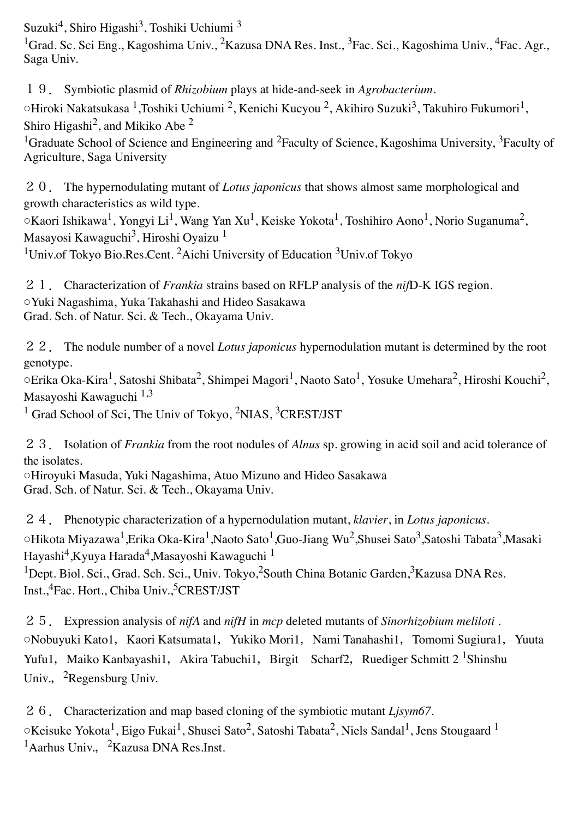Suzuki<sup>4</sup>, Shiro Higashi<sup>3</sup>, Toshiki Uchiumi<sup>3</sup>

<sup>1</sup>Grad. Sc. Sci Eng., Kagoshima Univ., <sup>2</sup>Kazusa DNA Res. Inst., <sup>3</sup>Fac. Sci., Kagoshima Univ., <sup>4</sup>Fac. Agr., Saga Univ.

19. Symbiotic plasmid of *Rhizobium* plays at hide-and-seek in *Agrobacterium*.

○Hiroki Nakatsukasa 1,Toshiki Uchiumi 2, Kenichi Kucyou 2, Akihiro Suzuki3, Takuhiro Fukumori1, Shiro Higashi<sup>2</sup>, and Mikiko Abe<sup>2</sup>

<sup>1</sup>Graduate School of Science and Engineering and <sup>2</sup>Faculty of Science, Kagoshima University, <sup>3</sup>Faculty of Agriculture, Saga University

20. The hypernodulating mutant of *Lotus japonicus* that shows almost same morphological and growth characteristics as wild type.

○Kaori Ishikawa1, Yongyi Li1, Wang Yan Xu1, Keiske Yokota1, Toshihiro Aono1, Norio Suganuma2, Masayosi Kawaguchi<sup>3</sup>, Hiroshi Oyaizu<sup>1</sup>

<sup>1</sup>Univ.of Tokyo Bio.Res.Cent. <sup>2</sup>Aichi University of Education  $3$ Univ.of Tokyo

21. Characterization of *Frankia* strains based on RFLP analysis of the *nif*D-K IGS region. ○Yuki Nagashima, Yuka Takahashi and Hideo Sasakawa Grad. Sch. of Natur. Sci. & Tech., Okayama Univ.

22. The nodule number of a novel *Lotus japonicus* hypernodulation mutant is determined by the root genotype.

○Erika Oka-Kira1, Satoshi Shibata2, Shimpei Magori1, Naoto Sato1, Yosuke Umehara2, Hiroshi Kouchi2, Masayoshi Kawaguchi 1,3

<sup>1</sup> Grad School of Sci, The Univ of Tokyo,  ${}^{2}NIAS$ ,  ${}^{3}CREST/JST$ 

23. Isolation of *Frankia* from the root nodules of *Alnus* sp. growing in acid soil and acid tolerance of the isolates.

○Hiroyuki Masuda, Yuki Nagashima, Atuo Mizuno and Hideo Sasakawa Grad. Sch. of Natur. Sci. & Tech., Okayama Univ.

24. Phenotypic characterization of a hypernodulation mutant, *klavier*, in *Lotus japonicus*. ○Hikota Miyazawa1,Erika Oka-Kira1,Naoto Sato1,Guo-Jiang Wu2,Shusei Sato3,Satoshi Tabata3,Masaki Hayashi<sup>4</sup>, Kyuya Harada<sup>4</sup>, Masayoshi Kawaguchi <sup>1</sup>

<sup>1</sup>Dept. Biol. Sci., Grad. Sch. Sci., Univ. Tokyo,<sup>2</sup>South China Botanic Garden,<sup>3</sup>Kazusa DNA Res. Inst.,<sup>4</sup>Fac. Hort., Chiba Univ.,<sup>5</sup>CREST/JST

25. Expression analysis of *nifA* and *nifH* in *mcp* deleted mutants of *Sinorhizobium meliloti* . ○Nobuyuki Kato1, Kaori Katsumata1, Yukiko Mori1, Nami Tanahashi1, Tomomi Sugiura1, Yuuta Yufu1, Maiko Kanbayashi1, Akira Tabuchi1, Birgit Scharf2, Ruediger Schmitt 2 <sup>1</sup>Shinshu Univ.,  ${}^{2}$ Regensburg Univ.

26. Characterization and map based cloning of the symbiotic mutant *Ljsym67*. ○Keisuke Yokota<sup>1</sup>, Eigo Fukai<sup>1</sup>, Shusei Sato<sup>2</sup>, Satoshi Tabata<sup>2</sup>, Niels Sandal<sup>1</sup>, Jens Stougaard <sup>1</sup> <sup>1</sup>Aarhus Univ., <sup>2</sup>Kazusa DNA Res.Inst.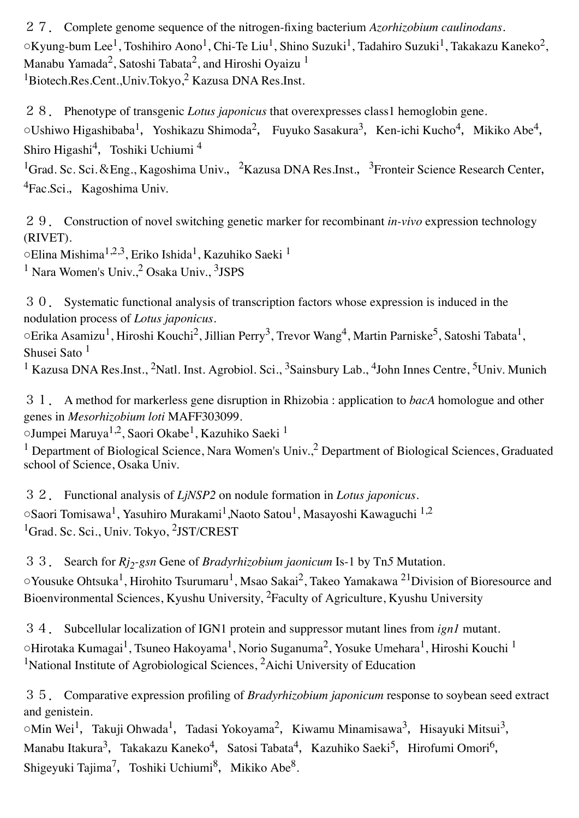27. Complete genome sequence of the nitrogen-fixing bacterium *Azorhizobium caulinodans*.  $\circ$ Kyung-bum Lee<sup>1</sup>, Toshihiro Aono<sup>1</sup>, Chi-Te Liu<sup>1</sup>, Shino Suzuki<sup>1</sup>, Tadahiro Suzuki<sup>1</sup>, Takakazu Kaneko<sup>2</sup>, Manabu Yamada<sup>2</sup>, Satoshi Tabata<sup>2</sup>, and Hiroshi Oyaizu<sup>1</sup> <sup>1</sup>Biotech.Res.Cent.,Univ.Tokyo,<sup>2</sup> Kazusa DNA Res.Inst.

28. Phenotype of transgenic *Lotus japonicus* that overexpresses class1 hemoglobin gene.  $\circ$ Ushiwo Higashibaba<sup>1</sup>, Yoshikazu Shimoda<sup>2</sup>, Fuyuko Sasakura<sup>3</sup>, Ken-ichi Kucho<sup>4</sup>, Mikiko Abe<sup>4</sup>, Shiro Higashi<sup>4</sup>, Toshiki Uchiumi<sup>4</sup>

<sup>1</sup>Grad. Sc. Sci. & Eng., Kagoshima Univ., <sup>2</sup>Kazusa DNA Res.Inst., <sup>3</sup>Fronteir Science Research Center, <sup>4</sup>Fac.Sci., Kagoshima Univ.

29. Construction of novel switching genetic marker for recombinant *in-vivo* expression technology (RIVET).

○Elina Mishima1,2,3, Eriko Ishida1, Kazuhiko Saeki 1

 $<sup>1</sup>$  Nara Women's Univ.,  $<sup>2</sup>$  Osaka Univ.,  $<sup>3</sup>$ JSPS</sup></sup></sup>

30. Systematic functional analysis of transcription factors whose expression is induced in the nodulation process of *Lotus japonicus*.

 $\circ$ Erika Asamizu<sup>1</sup>, Hiroshi Kouchi<sup>2</sup>, Jillian Perry<sup>3</sup>, Trevor Wang<sup>4</sup>, Martin Parniske<sup>5</sup>, Satoshi Tabata<sup>1</sup>, Shusei Sato<sup>1</sup>

<sup>1</sup> Kazusa DNA Res.Inst., <sup>2</sup>Natl. Inst. Agrobiol. Sci., <sup>3</sup>Sainsbury Lab., <sup>4</sup>John Innes Centre, <sup>5</sup>Univ. Munich

31. A method for markerless gene disruption in Rhizobia : application to *bacA* homologue and other genes in *Mesorhizobium loti* MAFF303099.

○Jumpei Maruya1,2, Saori Okabe1, Kazuhiko Saeki 1

<sup>1</sup> Department of Biological Science, Nara Women's Univ.<sup>2</sup> Department of Biological Sciences, Graduated school of Science, Osaka Univ.

32. Functional analysis of *LjNSP2* on nodule formation in *Lotus japonicus.*  $\circ$ Saori Tomisawa<sup>1</sup>, Yasuhiro Murakami<sup>1</sup>, Naoto Satou<sup>1</sup>, Masayoshi Kawaguchi <sup>1,2</sup> <sup>1</sup>Grad. Sc. Sci., Univ. Tokyo, <sup>2</sup>JST/CREST

33. Search for *Rj2-gsn* Gene of *Bradyrhizobium jaonicum* Is-1 by Tn*5* Mutation. ○Yousuke Ohtsuka<sup>1</sup>, Hirohito Tsurumaru<sup>1</sup>, Msao Sakai<sup>2</sup>, Takeo Yamakawa <sup>21</sup>Division of Bioresource and Bioenvironmental Sciences, Kyushu University, 2Faculty of Agriculture, Kyushu University

34. Subcellular localization of IGN1 protein and suppressor mutant lines from *ign1* mutant.  $\circ$ Hirotaka Kumagai<sup>1</sup>, Tsuneo Hakoyama<sup>1</sup>, Norio Suganuma<sup>2</sup>, Yosuke Umehara<sup>1</sup>, Hiroshi Kouchi <sup>1</sup> <sup>1</sup>National Institute of Agrobiological Sciences, <sup>2</sup>Aichi University of Education

35. Comparative expression profiling of *Bradyrhizobium japonicum* response to soybean seed extract and genistein.

 $\circ$ Min Wei<sup>1</sup>, Takuji Ohwada<sup>1</sup>, Tadasi Yokoyama<sup>2</sup>, Kiwamu Minamisawa<sup>3</sup>, Hisayuki Mitsui<sup>3</sup>, Manabu Itakura<sup>3</sup>, Takakazu Kaneko<sup>4</sup>, Satosi Tabata<sup>4</sup>, Kazuhiko Saeki<sup>5</sup>, Hirofumi Omori<sup>6</sup>, Shigeyuki Tajima<sup>7</sup>, Toshiki Uchiumi<sup>8</sup>, Mikiko Abe<sup>8</sup>.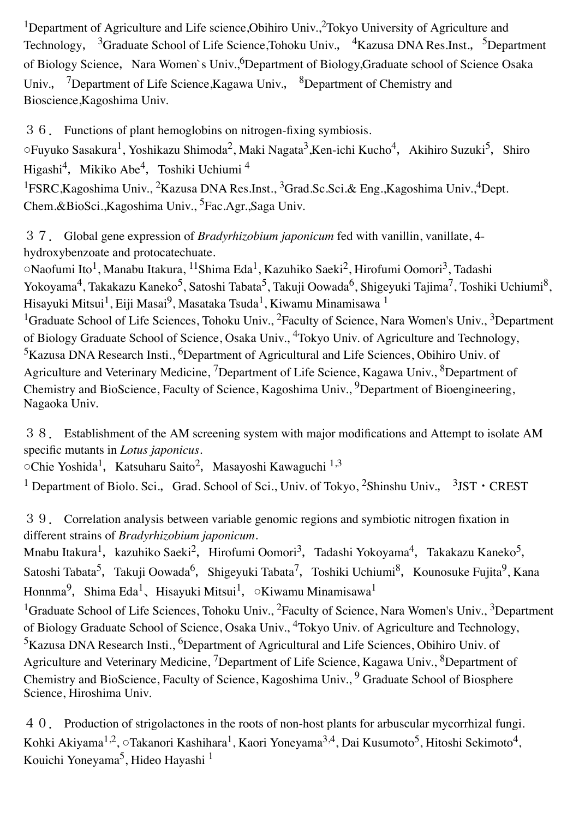<sup>1</sup>Department of Agriculture and Life science, Obihiro Univ.,<sup>2</sup>Tokyo University of Agriculture and Technology, <sup>3</sup>Graduate School of Life Science,Tohoku Univ., <sup>4</sup>Kazusa DNA Res.Inst., <sup>5</sup>Department of Biology Science, Nara Women`s Univ.,<sup>6</sup>Department of Biology,Graduate school of Science Osaka Univ., <sup>7</sup>Department of Life Science, Kagawa Univ., <sup>8</sup>Department of Chemistry and Bioscience,Kagoshima Univ.

36. Functions of plant hemoglobins on nitrogen-fixing symbiosis.  $\circ$ Fuyuko Sasakura<sup>1</sup>, Yoshikazu Shimoda<sup>2</sup>, Maki Nagata<sup>3</sup>, Ken-ichi Kucho<sup>4</sup>, Akihiro Suzuki<sup>5</sup>, Shiro Higashi<sup>4</sup>, Mikiko Abe<sup>4</sup>, Toshiki Uchiumi <sup>4</sup> <sup>1</sup>FSRC, Kagoshima Univ., <sup>2</sup>Kazusa DNA Res.Inst., <sup>3</sup>Grad. Sc. Sci. & Eng., Kagoshima Univ., <sup>4</sup>Dept. Chem.&BioSci.,Kagoshima Univ., 5Fac.Agr.,Saga Univ.

37. Global gene expression of *Bradyrhizobium japonicum* fed with vanillin, vanillate, 4 hydroxybenzoate and protocatechuate.

○Naofumi Ito1, Manabu Itakura, 11Shima Eda1, Kazuhiko Saeki2, Hirofumi Oomori3, Tadashi Yokoyama<sup>4</sup>, Takakazu Kaneko<sup>5</sup>, Satoshi Tabata<sup>5</sup>, Takuji Oowada<sup>6</sup>, Shigeyuki Tajima<sup>7</sup>, Toshiki Uchiumi<sup>8</sup>, Hisayuki Mitsui<sup>1</sup>, Eiji Masai<sup>9</sup>, Masataka Tsuda<sup>1</sup>, Kiwamu Minamisawa <sup>1</sup> <sup>1</sup>Graduate School of Life Sciences, Tohoku Univ., <sup>2</sup>Faculty of Science, Nara Women's Univ., <sup>3</sup>Department of Biology Graduate School of Science, Osaka Univ., 4Tokyo Univ. of Agriculture and Technology, <sup>5</sup>Kazusa DNA Research Insti., <sup>6</sup>Department of Agricultural and Life Sciences, Obihiro Univ. of Agriculture and Veterinary Medicine, <sup>7</sup>Department of Life Science, Kagawa Univ., <sup>8</sup>Department of Chemistry and BioScience, Faculty of Science, Kagoshima Univ., <sup>9</sup>Department of Bioengineering, Nagaoka Univ.

38. Establishment of the AM screening system with major modifications and Attempt to isolate AM specific mutants in *Lotus japonicus.*

○Chie Yoshida<sup>1</sup>, Katsuharu Saito<sup>2</sup>, Masayoshi Kawaguchi <sup>1,3</sup>

<sup>1</sup> Department of Biolo. Sci., Grad. School of Sci., Univ. of Tokyo, <sup>2</sup>Shinshu Univ., <sup>3</sup>JST • CREST

39. Correlation analysis between variable genomic regions and symbiotic nitrogen fixation in different strains of *Bradyrhizobium japonicum*.

Mnabu Itakura<sup>1</sup>, kazuhiko Saeki<sup>2</sup>, Hirofumi Oomori<sup>3</sup>, Tadashi Yokoyama<sup>4</sup>, Takakazu Kaneko<sup>5</sup>, Satoshi Tabata<sup>5</sup>, Takuji Oowada<sup>6</sup>, Shigeyuki Tabata<sup>7</sup>, Toshiki Uchiumi<sup>8</sup>, Kounosuke Fujita<sup>9</sup>, Kana Honnma<sup>9</sup>, Shima Eda<sup>1</sup>、Hisayuki Mitsui<sup>1</sup>, ○Kiwamu Minamisawa<sup>1</sup>

<sup>1</sup>Graduate School of Life Sciences, Tohoku Univ., <sup>2</sup>Faculty of Science, Nara Women's Univ., <sup>3</sup>Department of Biology Graduate School of Science, Osaka Univ., <sup>4</sup>Tokyo Univ. of Agriculture and Technology, <sup>5</sup>Kazusa DNA Research Insti., <sup>6</sup>Department of Agricultural and Life Sciences, Obihiro Univ. of Agriculture and Veterinary Medicine, <sup>7</sup>Department of Life Science, Kagawa Univ., <sup>8</sup>Department of Chemistry and BioScience, Faculty of Science, Kagoshima Univ., <sup>9</sup> Graduate School of Biosphere Science, Hiroshima Univ.

40. Production of strigolactones in the roots of non-host plants for arbuscular mycorrhizal fungi. Kohki Akiyama<sup>1,2</sup>, ○Takanori Kashihara<sup>1</sup>, Kaori Yoneyama<sup>3,4</sup>, Dai Kusumoto<sup>5</sup>, Hitoshi Sekimoto<sup>4</sup>, Kouichi Yoneyama<sup>5</sup>, Hideo Hayashi<sup>1</sup>